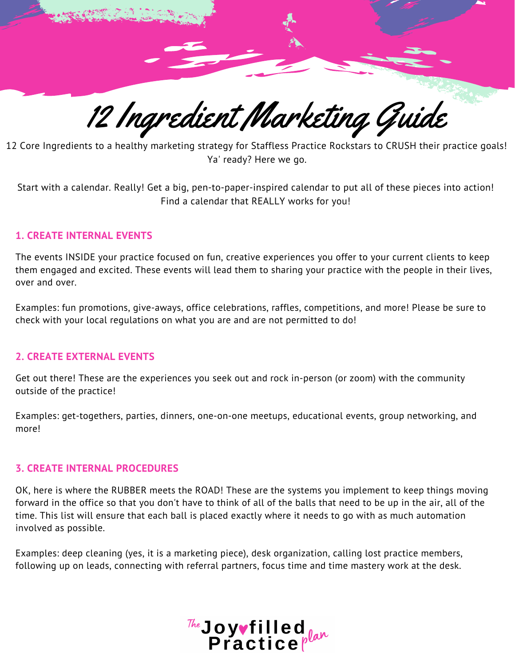

12 Core Ingredients to a healthy marketing strategy for Staffless Practice Rockstars to CRUSH their practice goals! Ya' ready? Here we go.

Start with a calendar. Really! Get a big, pen-to-paper-inspired calendar to put all of these pieces into action! Find a calendar that REALLY works for you!

# **1. CREATE INTERNAL EVENTS**

The events INSIDE your practice focused on fun, creative experiences you offer to your current clients to keep them engaged and excited. These events will lead them to sharing your practice with the people in their lives, over and over.

Examples: fun promotions, give-aways, office celebrations, raffles, competitions, and more! Please be sure to check with your local regulations on what you are and are not permitted to do!

### **2. CREATE EXTERNAL EVENTS**

Get out there! These are the experiences you seek out and rock in-person (or zoom) with the community outside of the practice!

Examples: get-togethers, parties, dinners, one-on-one meetups, educational events, group networking, and more!

### **3. CREATE INTERNAL PROCEDURES**

OK, here is where the RUBBER meets the ROAD! These are the systems you implement to keep things moving forward in the office so that you don't have to think of all of the balls that need to be up in the air, all of the time. This list will ensure that each ball is placed exactly where it needs to go with as much automation involved as possible.

Examples: deep cleaning (yes, it is a marketing piece), desk organization, calling lost practice members, following up on leads, connecting with referral partners, focus time and time mastery work at the desk.

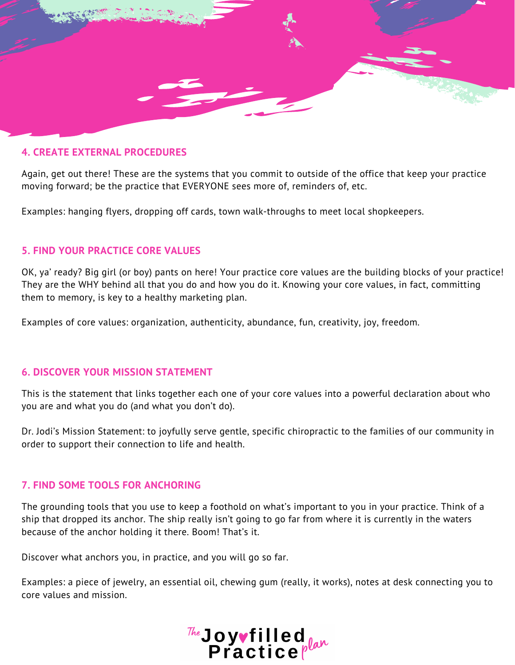

# **4. CREATE EXTERNAL PROCEDURES**

Again, get out there! These are the systems that you commit to outside of the office that keep your practice moving forward; be the practice that EVERYONE sees more of, reminders of, etc.

Examples: hanging flyers, dropping off cards, town walk-throughs to meet local shopkeepers.

# **5. FIND YOUR PRACTICE CORE VALUES**

OK, ya' ready? Big girl (or boy) pants on here! Your practice core values are the building blocks of your practice! They are the WHY behind all that you do and how you do it. Knowing your core values, in fact, committing them to memory, is key to a healthy marketing plan.

Examples of core values: organization, authenticity, abundance, fun, creativity, joy, freedom.

# **6. DISCOVER YOUR MISSION STATEMENT**

This is the statement that links together each one of your core values into a powerful declaration about who you are and what you do (and what you don't do).

Dr. Jodi's Mission Statement: to joyfully serve gentle, specific chiropractic to the families of our community in order to support their connection to life and health.

# **7. FIND SOME TOOLS FOR ANCHORING**

The grounding tools that you use to keep a foothold on what's important to you in your practice. Think of a ship that dropped its anchor. The ship really isn't going to go far from where it is currently in the waters because of the anchor holding it there. Boom! That's it.

Discover what anchors you, in practice, and you will go so far.

Examples: a piece of jewelry, an essential oil, chewing gum (really, it works), notes at desk connecting you to core values and mission.